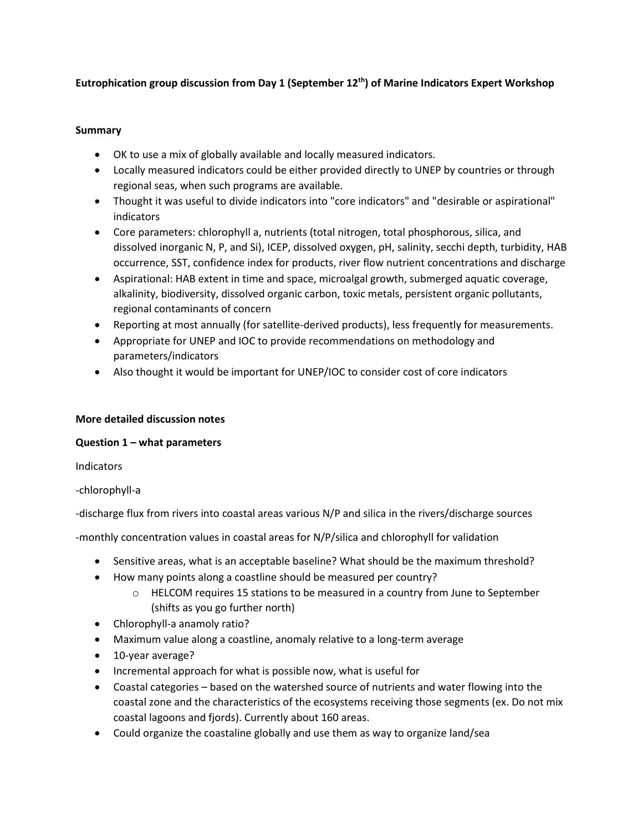# **Eutrophication group discussion from Day 1 (September 12th) of Marine Indicators Expert Workshop**

### **Summary**

- OK to use a mix of globally available and locally measured indicators.
- Locally measured indicators could be either provided directly to UNEP by countries or through regional seas, when such programs are available.
- Thought it was useful to divide indicators into "core indicators" and "desirable or aspirational" indicators
- Core parameters: chlorophyll a, nutrients (total nitrogen, total phosphorous, silica, and dissolved inorganic N, P, and Si), ICEP, dissolved oxygen, pH, salinity, secchi depth, turbidity, HAB occurrence, SST, confidence index for products, river flow nutrient concentrations and discharge
- Aspirational: HAB extent in time and space, microalgal growth, submerged aquatic coverage, alkalinity, biodiversity, dissolved organic carbon, toxic metals, persistent organic pollutants, regional contaminants of concern
- Reporting at most annually (for satellite-derived products), less frequently for measurements.
- Appropriate for UNEP and IOC to provide recommendations on methodology and parameters/indicators
- Also thought it would be important for UNEP/IOC to consider cost of core indicators

# **More detailed discussion notes**

### **Question 1 – what parameters**

Indicators

-chlorophyll-a

-discharge flux from rivers into coastal areas various N/P and silica in the rivers/discharge sources

-monthly concentration values in coastal areas for N/P/silica and chlorophyll for validation

- Sensitive areas, what is an acceptable baseline? What should be the maximum threshold?
- How many points along a coastline should be measured per country?
	- o HELCOM requires 15 stations to be measured in a country from June to September (shifts as you go further north)
- Chlorophyll-a anamoly ratio?
- Maximum value along a coastline, anomaly relative to a long-term average
- 10-year average?
- Incremental approach for what is possible now, what is useful for
- Coastal categories based on the watershed source of nutrients and water flowing into the coastal zone and the characteristics of the ecosystems receiving those segments (ex. Do not mix coastal lagoons and fjords). Currently about 160 areas.
- Could organize the coastaline globally and use them as way to organize land/sea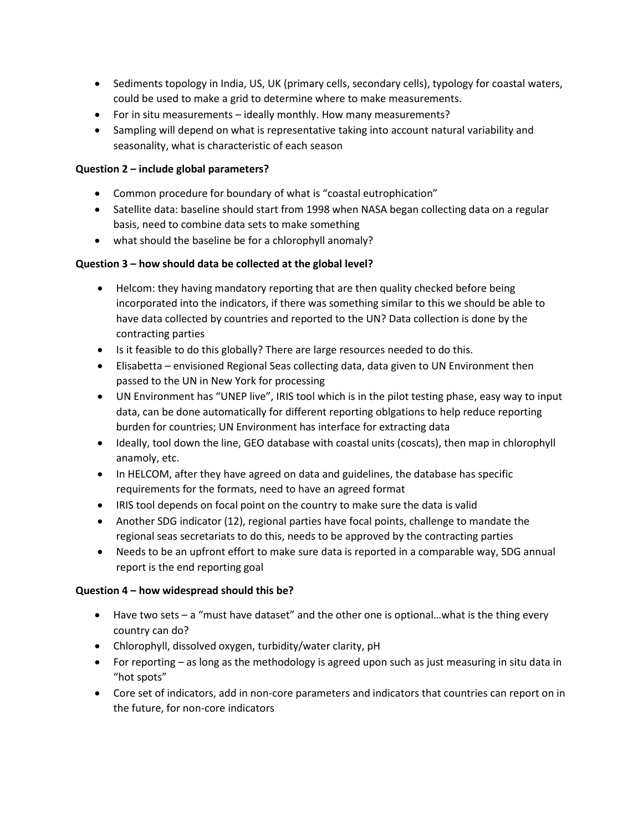- Sediments topology in India, US, UK (primary cells, secondary cells), typology for coastal waters, could be used to make a grid to determine where to make measurements.
- For in situ measurements ideally monthly. How many measurements?
- Sampling will depend on what is representative taking into account natural variability and seasonality, what is characteristic of each season

# **Question 2 – include global parameters?**

- Common procedure for boundary of what is "coastal eutrophication"
- Satellite data: baseline should start from 1998 when NASA began collecting data on a regular basis, need to combine data sets to make something
- what should the baseline be for a chlorophyll anomaly?

### **Question 3 – how should data be collected at the global level?**

- Helcom: they having mandatory reporting that are then quality checked before being incorporated into the indicators, if there was something similar to this we should be able to have data collected by countries and reported to the UN? Data collection is done by the contracting parties
- Is it feasible to do this globally? There are large resources needed to do this.
- Elisabetta envisioned Regional Seas collecting data, data given to UN Environment then passed to the UN in New York for processing
- UN Environment has "UNEP live", IRIS tool which is in the pilot testing phase, easy way to input data, can be done automatically for different reporting oblgations to help reduce reporting burden for countries; UN Environment has interface for extracting data
- Ideally, tool down the line, GEO database with coastal units (coscats), then map in chlorophyll anamoly, etc.
- In HELCOM, after they have agreed on data and guidelines, the database has specific requirements for the formats, need to have an agreed format
- IRIS tool depends on focal point on the country to make sure the data is valid
- Another SDG indicator (12), regional parties have focal points, challenge to mandate the regional seas secretariats to do this, needs to be approved by the contracting parties
- Needs to be an upfront effort to make sure data is reported in a comparable way, SDG annual report is the end reporting goal

### **Question 4 – how widespread should this be?**

- Have two sets a "must have dataset" and the other one is optional...what is the thing every country can do?
- Chlorophyll, dissolved oxygen, turbidity/water clarity, pH
- For reporting as long as the methodology is agreed upon such as just measuring in situ data in "hot spots"
- Core set of indicators, add in non-core parameters and indicators that countries can report on in the future, for non-core indicators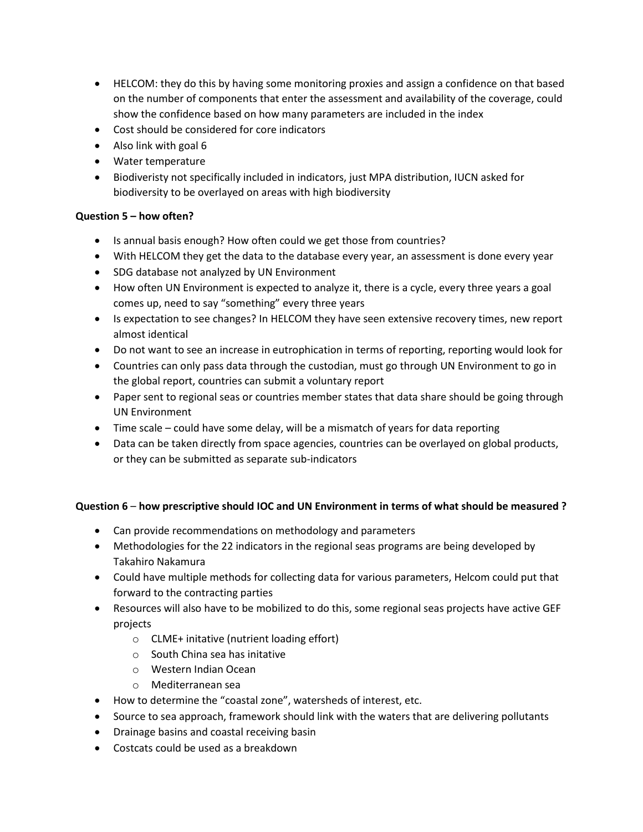- HELCOM: they do this by having some monitoring proxies and assign a confidence on that based on the number of components that enter the assessment and availability of the coverage, could show the confidence based on how many parameters are included in the index
- Cost should be considered for core indicators
- Also link with goal 6
- Water temperature
- Biodiveristy not specifically included in indicators, just MPA distribution, IUCN asked for biodiversity to be overlayed on areas with high biodiversity

### **Question 5 – how often?**

- Is annual basis enough? How often could we get those from countries?
- With HELCOM they get the data to the database every year, an assessment is done every year
- SDG database not analyzed by UN Environment
- How often UN Environment is expected to analyze it, there is a cycle, every three years a goal comes up, need to say "something" every three years
- Is expectation to see changes? In HELCOM they have seen extensive recovery times, new report almost identical
- Do not want to see an increase in eutrophication in terms of reporting, reporting would look for
- Countries can only pass data through the custodian, must go through UN Environment to go in the global report, countries can submit a voluntary report
- Paper sent to regional seas or countries member states that data share should be going through UN Environment
- Time scale could have some delay, will be a mismatch of years for data reporting
- Data can be taken directly from space agencies, countries can be overlayed on global products, or they can be submitted as separate sub-indicators

### **Question 6** – **how prescriptive should IOC and UN Environment in terms of what should be measured ?**

- Can provide recommendations on methodology and parameters
- Methodologies for the 22 indicators in the regional seas programs are being developed by Takahiro Nakamura
- Could have multiple methods for collecting data for various parameters, Helcom could put that forward to the contracting parties
- Resources will also have to be mobilized to do this, some regional seas projects have active GEF projects
	- o CLME+ initative (nutrient loading effort)
	- o South China sea has initative
	- o Western Indian Ocean
	- o Mediterranean sea
- How to determine the "coastal zone", watersheds of interest, etc.
- Source to sea approach, framework should link with the waters that are delivering pollutants
- Drainage basins and coastal receiving basin
- Costcats could be used as a breakdown